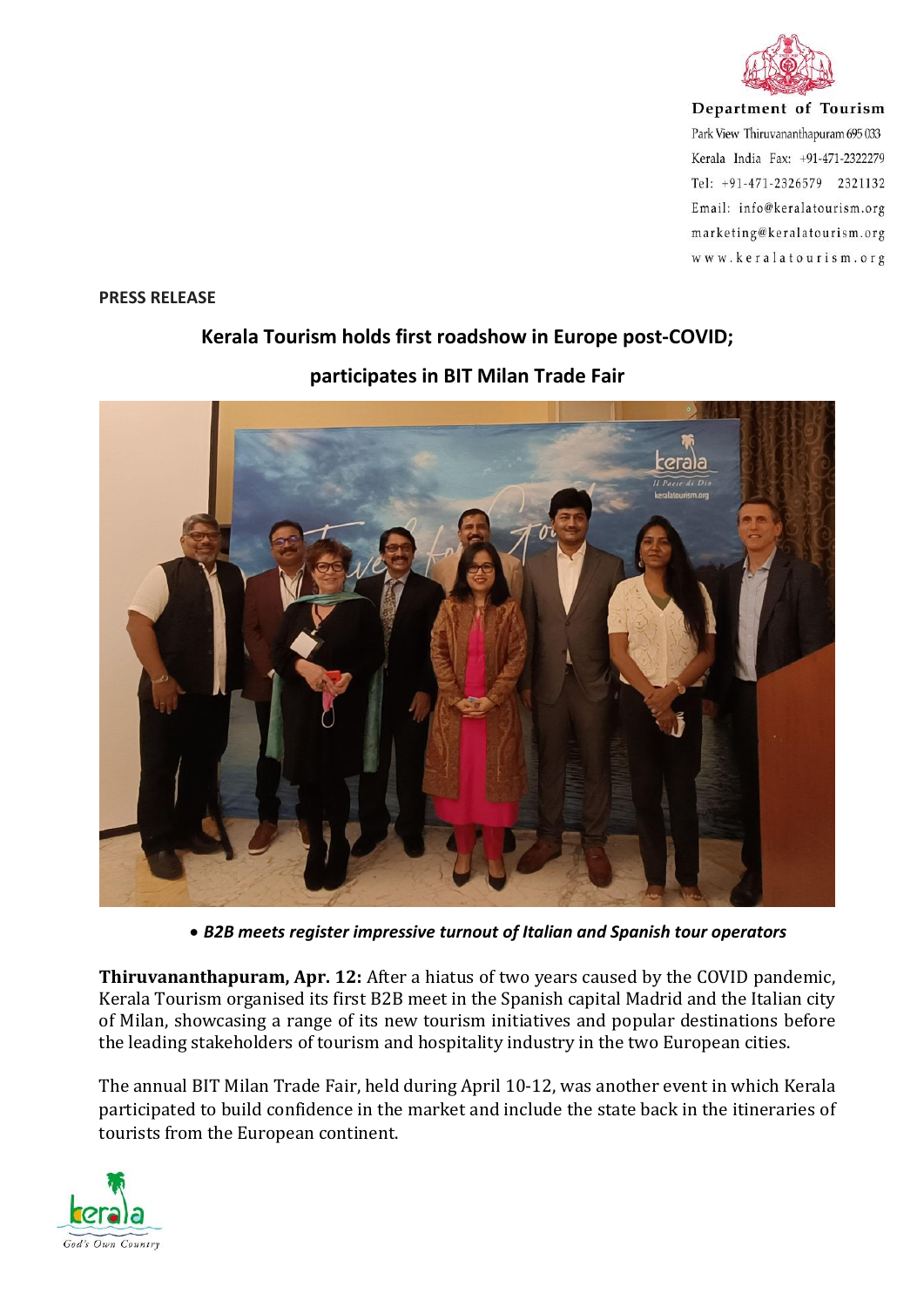

Department of Tourism Park View Thiruvananthapuram 695 033 Kerala India Fax: +91-471-2322279 Tel: +91-471-2326579 2321132 Email: info@keralatourism.org marketing@keralatourism.org www.keralatourism.org

## **PRESS RELEASE**

## **Kerala Tourism holds first roadshow in Europe post-COVID;**

## **participates in BIT Milan Trade Fair**



*B2B meets register impressive turnout of Italian and Spanish tour operators*

**Thiruvananthapuram, Apr. 12:** After a hiatus of two years caused by the COVID pandemic, Kerala Tourism organised its first B2B meet in the Spanish capital Madrid and the Italian city of Milan, showcasing a range of its new tourism initiatives and popular destinations before the leading stakeholders of tourism and hospitality industry in the two European cities.

The annual BIT Milan Trade Fair, held during April 10-12, was another event in which Kerala participated to build confidence in the market and include the state back in the itineraries of tourists from the European continent.